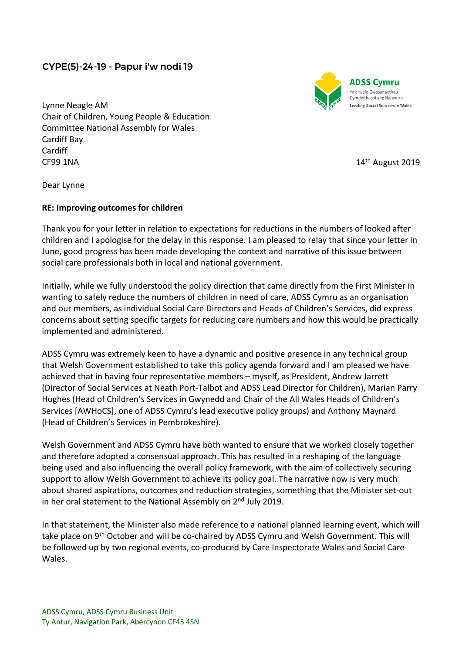## CYPE(5)-24-19 - Papur i'w nodi 19



**ADSS Cymru** 'n arwain Gwasanaethau Cymdeithasol yng Nghymru Leading Social Services in Wales

Lynne Neagle AM Chair of Children, Young People & Education Committee National Assembly for Wales Cardiff Bay Cardiff CF99 1NA

14<sup>th</sup> August 2019

Dear Lynne

## **RE: Improving outcomes for children**

Thank you for your letter in relation to expectations for reductions in the numbers of looked after children and I apologise for the delay in this response. I am pleased to relay that since your letter in June, good progress has been made developing the context and narrative of this issue between social care professionals both in local and national government.

Initially, while we fully understood the policy direction that came directly from the First Minister in wanting to safely reduce the numbers of children in need of care, ADSS Cymru as an organisation and our members, as individual Social Care Directors and Heads of Children's Services, did express concerns about setting specific targets for reducing care numbers and how this would be practically implemented and administered.

ADSS Cymru was extremely keen to have a dynamic and positive presence in any technical group that Welsh Government established to take this policy agenda forward and I am pleased we have achieved that in having four representative members – myself, as President, Andrew Jarrett (Director of Social Services at Neath Port-Talbot and ADSS Lead Director for Children), Marian Parry Hughes (Head of Children's Services in Gwynedd and Chair of the All Wales Heads of Children's Services [AWHoCS], one of ADSS Cymru's lead executive policy groups) and Anthony Maynard (Head of Children's Services in Pembrokeshire).

Welsh Government and ADSS Cymru have both wanted to ensure that we worked closely together and therefore adopted a consensual approach. This has resulted in a reshaping of the language being used and also influencing the overall policy framework, with the aim of collectively securing support to allow Welsh Government to achieve its policy goal. The narrative now is very much about shared aspirations, outcomes and reduction strategies, something that the Minister set-out in her oral statement to the National Assembly on  $2<sup>nd</sup>$  July 2019.

In that statement, the Minister also made reference to a national planned learning event, which will take place on 9th October and will be co-chaired by ADSS Cymru and Welsh Government. This will be followed up by two regional events, co-produced by Care Inspectorate Wales and Social Care Wales.